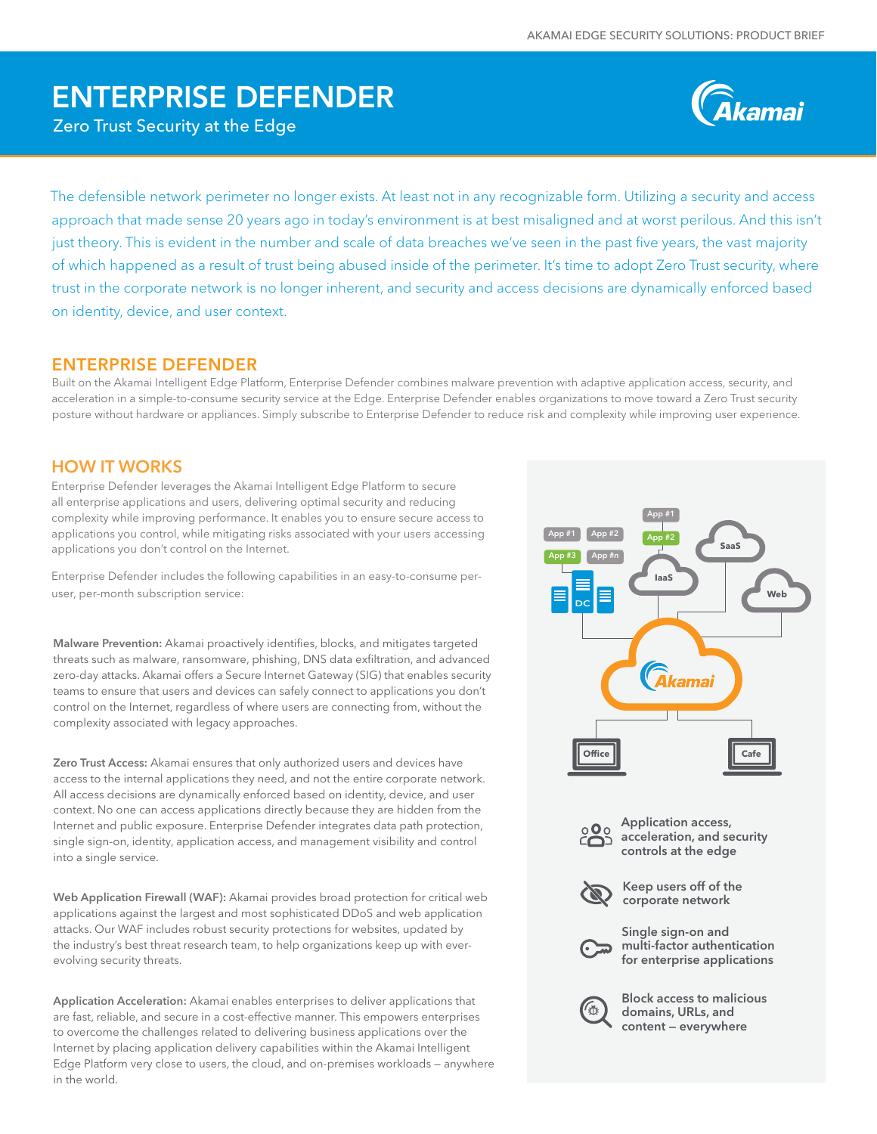# ENTERPRISE DEFENDER

Zero Trust Security at the Edge



The defensible network perimeter no longer exists. At least not in any recognizable form. Utilizing a security and access approach that made sense 20 years ago in today's environment is at best misaligned and at worst perilous. And this isn't just theory. This is evident in the number and scale of data breaches we've seen in the past five years, the vast majority of which happened as a result of trust being abused inside of the perimeter. It's time to adopt Zero Trust security, where trust in the corporate network is no longer inherent, and security and access decisions are dynamically enforced based on identity, device, and user context.

# ENTERPRISE DEFENDER

Built on the Akamai Intelligent Edge Platform, Enterprise Defender combines malware prevention with adaptive application access, security, and acceleration in a simple-to-consume security service at the Edge. Enterprise Defender enables organizations to move toward a Zero Trust security posture without hardware or appliances. Simply subscribe to Enterprise Defender to reduce risk and complexity while improving user experience.

## HOW IT WORKS

Enterprise Defender leverages the Akamai Intelligent Edge Platform to secure all enterprise applications and users, delivering optimal security and reducing complexity while improving performance. It enables you to ensure secure access to applications you control, while mitigating risks associated with your users accessing applications you don't control on the Internet.

Enterprise Defender includes the following capabilities in an easy-to-consume peruser, per-month subscription service:

Malware Prevention: Akamai proactively identifies, blocks, and mitigates targeted threats such as malware, ransomware, phishing, DNS data exfiltration, and advanced zero-day attacks. Akamai offers a Secure Internet Gateway (SIG) that enables security teams to ensure that users and devices can safely connect to applications you don't control on the Internet, regardless of where users are connecting from, without the complexity associated with legacy approaches.

Zero Trust Access: Akamai ensures that only authorized users and devices have access to the internal applications they need, and not the entire corporate network. All access decisions are dynamically enforced based on identity, device, and user context. No one can access applications directly because they are hidden from the Internet and public exposure. Enterprise Defender integrates data path protection, single sign-on, identity, application access, and management visibility and control into a single service.

Web Application Firewall (WAF): Akamai provides broad protection for critical web applications against the largest and most sophisticated DDoS and web application attacks. Our WAF includes robust security protections for websites, updated by the industry's best threat research team, to help organizations keep up with everevolving security threats.

Application Acceleration: Akamai enables enterprises to deliver applications that are fast, reliable, and secure in a cost-effective manner. This empowers enterprises to overcome the challenges related to delivering business applications over the **Office Cafe** Internet by placing application delivery capabilities within the Akamai Intelligent Edge Platform very close to users, the cloud, and on-premises workloads — anywhere in the world.